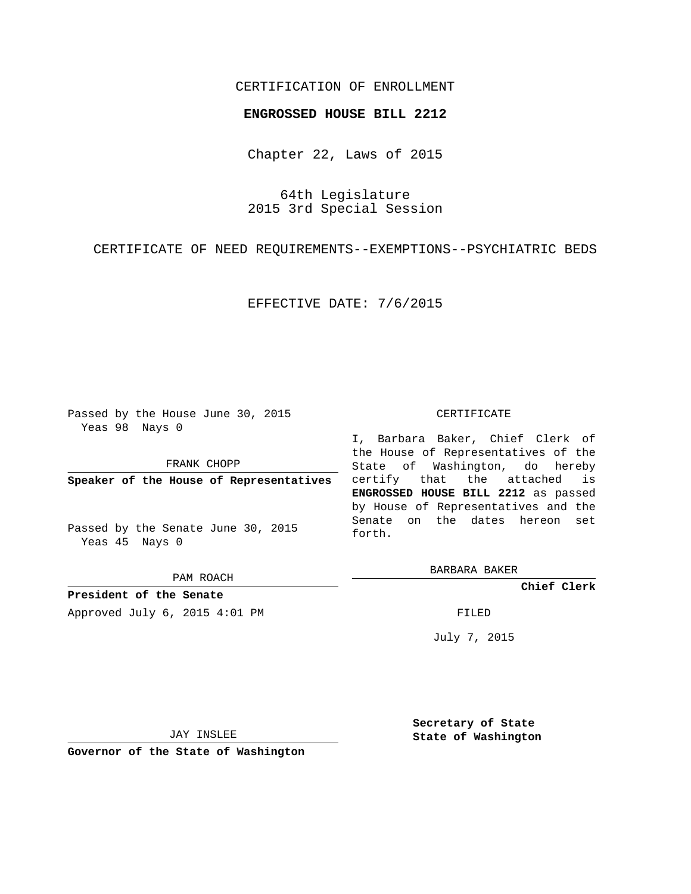## CERTIFICATION OF ENROLLMENT

## **ENGROSSED HOUSE BILL 2212**

Chapter 22, Laws of 2015

64th Legislature 2015 3rd Special Session

CERTIFICATE OF NEED REQUIREMENTS--EXEMPTIONS--PSYCHIATRIC BEDS

EFFECTIVE DATE: 7/6/2015

Passed by the House June 30, 2015 Yeas 98 Nays 0

FRANK CHOPP

**Speaker of the House of Representatives**

Passed by the Senate June 30, 2015 Yeas 45 Nays 0

PAM ROACH

**President of the Senate** Approved July 6, 2015 4:01 PM FILED

## CERTIFICATE

I, Barbara Baker, Chief Clerk of the House of Representatives of the State of Washington, do hereby certify that the attached is **ENGROSSED HOUSE BILL 2212** as passed by House of Representatives and the Senate on the dates hereon set forth.

BARBARA BAKER

**Chief Clerk**

July 7, 2015

JAY INSLEE

**Governor of the State of Washington**

**Secretary of State State of Washington**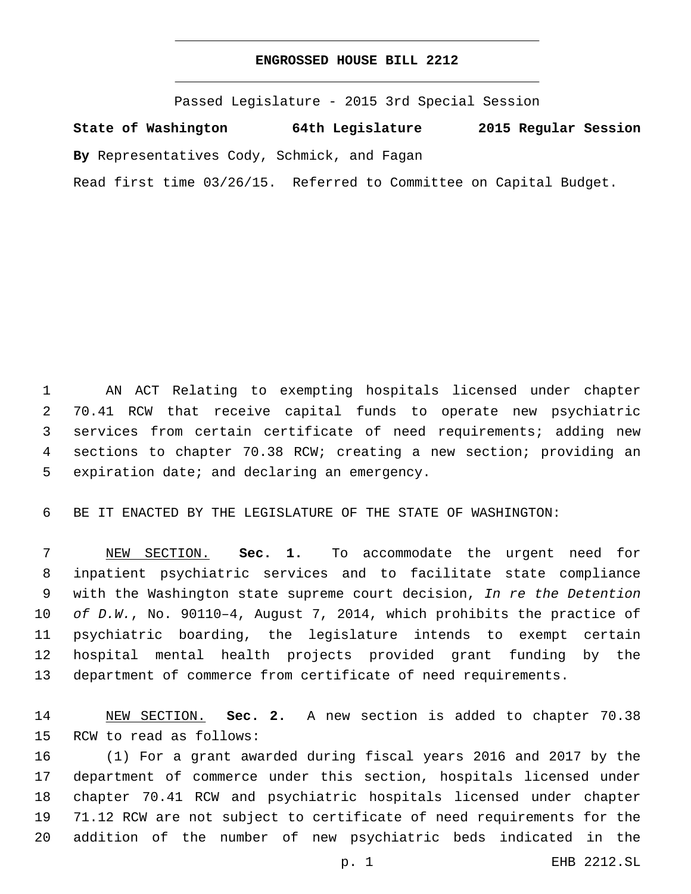## **ENGROSSED HOUSE BILL 2212**

Passed Legislature - 2015 3rd Special Session

**State of Washington 64th Legislature 2015 Regular Session**

**By** Representatives Cody, Schmick, and Fagan

Read first time 03/26/15. Referred to Committee on Capital Budget.

 AN ACT Relating to exempting hospitals licensed under chapter 70.41 RCW that receive capital funds to operate new psychiatric services from certain certificate of need requirements; adding new sections to chapter 70.38 RCW; creating a new section; providing an 5 expiration date; and declaring an emergency.

BE IT ENACTED BY THE LEGISLATURE OF THE STATE OF WASHINGTON:

 NEW SECTION. **Sec. 1.** To accommodate the urgent need for inpatient psychiatric services and to facilitate state compliance with the Washington state supreme court decision, *In re the Detention of D.W.*, No. 90110–4, August 7, 2014, which prohibits the practice of psychiatric boarding, the legislature intends to exempt certain hospital mental health projects provided grant funding by the department of commerce from certificate of need requirements.

 NEW SECTION. **Sec. 2.** A new section is added to chapter 70.38 15 RCW to read as follows:

 (1) For a grant awarded during fiscal years 2016 and 2017 by the department of commerce under this section, hospitals licensed under chapter 70.41 RCW and psychiatric hospitals licensed under chapter 71.12 RCW are not subject to certificate of need requirements for the addition of the number of new psychiatric beds indicated in the